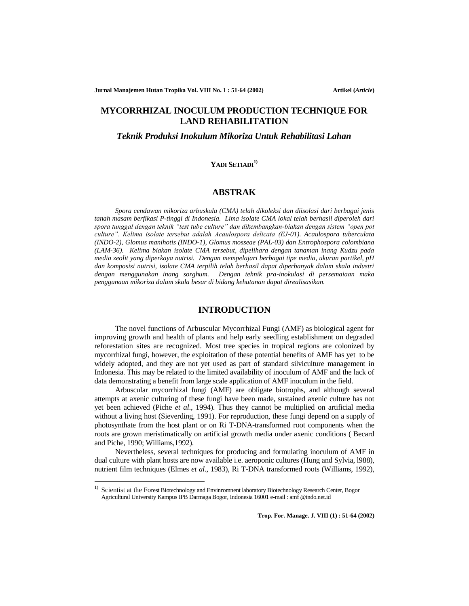**Jurnal Manajemen Hutan Tropika Vol. VIII No. 1 : 51-64 (2002) <b>Artikel (Article**)

# **MYCORRHIZAL INOCULUM PRODUCTION TECHNIQUE FOR LAND REHABILITATION**

*Teknik Produksi Inokulum Mikoriza Untuk Rehabilitasi Lahan* 

### **YADI SETIADI1)**

# **ABSTRAK**

*Spora cendawan mikoriza arbuskula (CMA) telah dikoleksi dan diisolasi dari berbagai jenis tanah masam berfikasi P-tinggi di Indonesia. Lima isolate CMA lokal telah berhasil diperoleh dari spora tunggal dengan teknik "test tube culture" dan dikembangkan-biakan dengan sistem "open pot culture". Kelima isolate tersebut adalah Acaulospora delicata (EJ-01). Acaulospora tuberculata (INDO-2), Glomus manihotis (INDO-1), Glomus mosseae (PAL-03) dan Entrophospora colombiana (LAM-36). Kelima biakan isolate CMA tersebut, dipelihara dengan tanaman inang Kudzu pada media zeolit yang diperkaya nutrisi. Dengan mempelajari berbagai tipe media, ukuran partikel, pH dan komposisi nutrisi, isolate CMA terpilih telah berhasil dapat diperbanyak dalam skala industri dengan menggunakan inang sorghum. Dengan tehnik pra-inokulasi di persemaiaan maka penggunaan mikoriza dalam skala besar di bidang kehutanan dapat direalisasikan.*

# **INTRODUCTION**

The novel functions of Arbuscular Mycorrhizal Fungi (AMF) as biological agent for improving growth and health of plants and help early seedling establishment on degraded reforestation sites are recognized. Most tree species in tropical regions are colonized by mycorrhizal fungi, however, the exploitation of these potential benefits of AMF has yet to be widely adopted, and they are not yet used as part of standard silviculture management in Indonesia. This may be related to the limited availability of inoculum of AMF and the lack of data demonstrating a benefit from large scale application of AMF inoculum in the field.

Arbuscular mycorrhizal fungi (AMF) are obligate biotrophs, and although several attempts at axenic culturing of these fungi have been made, sustained axenic culture has not yet been achieved (Piche *et al*., 1994). Thus they cannot be multiplied on artificial media without a living host (Sieverding, 1991). For reproduction, these fungi depend on a supply of photosynthate from the host plant or on Ri T-DNA-transformed root components when the roots are grown meristimatically on artificial growth media under axenic conditions ( Becard and Piche, 1990; Williams,1992).

Nevertheless, several techniques for producing and formulating inoculum of AMF in dual culture with plant hosts are now available i.e. aeroponic cultures (Hung and Sylvia, l988), nutrient film techniques (Elmes *et al*., 1983), Ri T-DNA transformed roots (Williams, 1992),

<sup>&</sup>lt;sup>1)</sup> Scientist at the Forest Biotechnology and Envinromnent laboratory Biotechnology Research Center, Bogor Agricultural University Kampus IPB Darmaga Bogor, Indonesia 16001 e-mail : amf @indo.net.id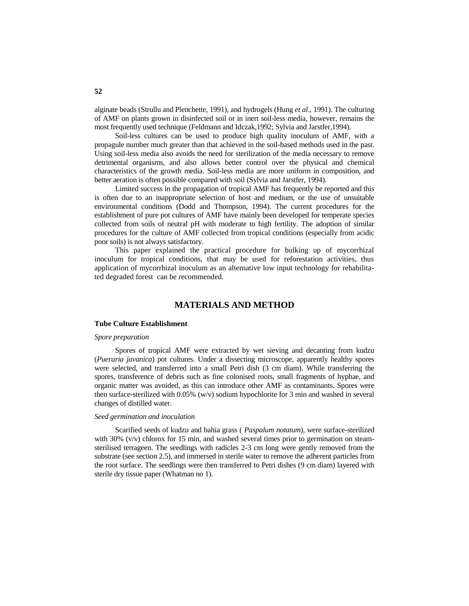alginate beads (Strullu and Plenchette, 1991), and hydrogels (Hung *et al*., 1991). The culturing of AMF on plants grown in disinfected soil or in inert soil-less media, however, remains the most frequently used technique (Feldmann and Idczak,1992; Sylvia and Jarstfer,1994).

Soil-less cultures can be used to produce high quality inoculum of AMF, with a propagule number much greater than that achieved in the soil-based methods used in the past. Using soil-less media also avoids the need for sterilization of the media necessary to remove detrimental organisms, and also allows better control over the physical and chemical characteristics of the growth media. Soil-less media are more uniform in composition, and better aeration is often possible compared with soil (Sylvia and Jarstfer, 1994).

Limited success in the propagation of tropical AMF has frequently be reported and this is often due to an inappropriate selection of host and medium, or the use of unsuitable environmental conditions (Dodd and Thompson, 1994). The current procedures for the establishment of pure pot cultures of AMF have mainly been developed for temperate species collected from soils of neutral pH with moderate to high fertility. The adoption of similar procedures for the culture of AMF collected from tropical conditions (especially from acidic poor soils) is not always satisfactory.

This paper explained the practical procedure for bulking up of mycorrhizal inoculum for tropical conditions, that may be used for reforestation activities, thus application of mycorrhizal inoculum as an alternative low input technology for rehabilitated degraded forest can be recommended.

## **MATERIALS AND METHOD**

### **Tube Culture Establishment**

#### *Spore preparation*

Spores of tropical AMF were extracted by wet sieving and decanting from kudzu (*Pueraria javanica*) pot cultures. Under a dissecting microscope, apparently healthy spores were selected, and transferred into a small Petri dish (3 cm diam). While transferring the spores, transference of debris such as fine colonised roots, small fragments of hyphae, and organic matter was avoided, as this can introduce other AMF as contaminants. Spores were then surface-sterilized with 0.05% (w/v) sodium hypochlorite for 3 min and washed in several changes of distilled water.

### *Seed germination and inoculation*

Scarified seeds of kudzu and bahia grass ( *Paspalum notatum*), were surface-sterilized with 30%  $(v/v)$  chlorox for 15 min, and washed several times prior to germination on steamsterilised terrageen. The seedlings with radicles 2-3 cm long were gently removed from the substrate (see section 2.5), and immersed in sterile water to remove the adherent particles from the root surface. The seedlings were then transferred to Petri dishes (9 cm diam) layered with sterile dry tissue paper (Whatman no 1).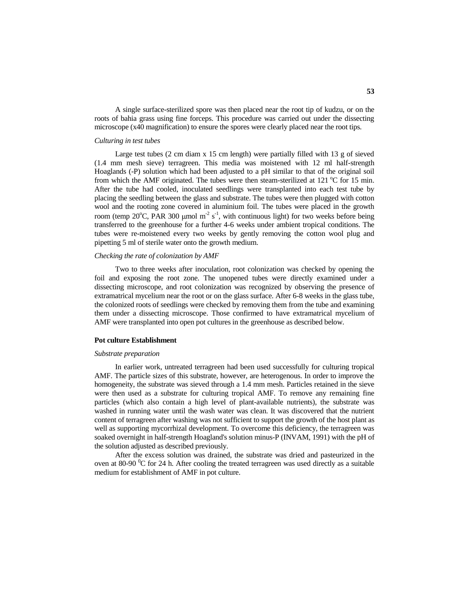A single surface-sterilized spore was then placed near the root tip of kudzu, or on the roots of bahia grass using fine forceps. This procedure was carried out under the dissecting microscope (x40 magnification) to ensure the spores were clearly placed near the root tips.

### *Culturing in test tubes*

Large test tubes  $(2 \text{ cm } \text{diam } x \text{ 15 cm } \text{ length})$  were partially filled with  $13 \text{ g of sieved}$ (1.4 mm mesh sieve) terragreen. This media was moistened with 12 ml half-strength Hoaglands (-P) solution which had been adjusted to a pH similar to that of the original soil from which the AMF originated. The tubes were then steam-sterilized at 121  $^{\circ}$ C for 15 min. After the tube had cooled, inoculated seedlings were transplanted into each test tube by placing the seedling between the glass and substrate. The tubes were then plugged with cotton wool and the rooting zone covered in aluminium foil. The tubes were placed in the growth room (temp 20°C, PAR 300 µmol m<sup>-2</sup> s<sup>-1</sup>, with continuous light) for two weeks before being transferred to the greenhouse for a further 4-6 weeks under ambient tropical conditions. The tubes were re-moistened every two weeks by gently removing the cotton wool plug and pipetting 5 ml of sterile water onto the growth medium.

#### *Checking the rate of colonization by AMF*

Two to three weeks after inoculation, root colonization was checked by opening the foil and exposing the root zone. The unopened tubes were directly examined under a dissecting microscope, and root colonization was recognized by observing the presence of extramatrical mycelium near the root or on the glass surface. After 6-8 weeks in the glass tube, the colonized roots of seedlings were checked by removing them from the tube and examining them under a dissecting microscope. Those confirmed to have extramatrical mycelium of AMF were transplanted into open pot cultures in the greenhouse as described below.

#### **Pot culture Establishment**

#### *Substrate preparation*

In earlier work, untreated terragreen had been used successfully for culturing tropical AMF. The particle sizes of this substrate, however, are heterogenous. In order to improve the homogeneity, the substrate was sieved through a 1.4 mm mesh. Particles retained in the sieve were then used as a substrate for culturing tropical AMF. To remove any remaining fine particles (which also contain a high level of plant-available nutrients), the substrate was washed in running water until the wash water was clean. It was discovered that the nutrient content of terragreen after washing was not sufficient to support the growth of the host plant as well as supporting mycorrhizal development. To overcome this deficiency, the terragreen was soaked overnight in half-strength Hoagland's solution minus-P (INVAM, 1991) with the pH of the solution adjusted as described previously.

After the excess solution was drained, the substrate was dried and pasteurized in the oven at 80-90  $\mathrm{^0C}$  for 24 h. After cooling the treated terragreen was used directly as a suitable medium for establishment of AMF in pot culture.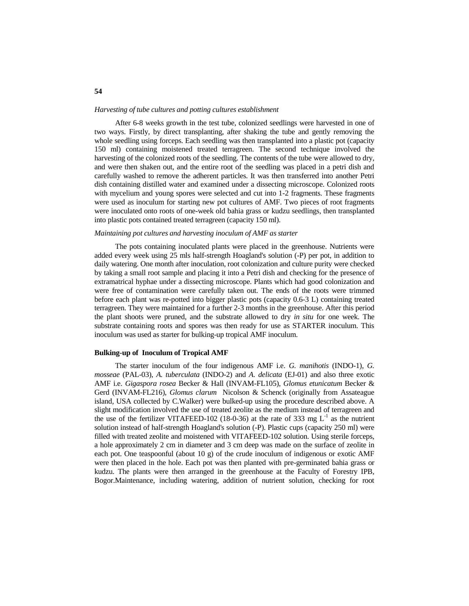#### *Harvesting of tube cultures and potting cultures establishment*

After 6-8 weeks growth in the test tube, colonized seedlings were harvested in one of two ways. Firstly, by direct transplanting, after shaking the tube and gently removing the whole seedling using forceps. Each seedling was then transplanted into a plastic pot (capacity 150 ml) containing moistened treated terragreen. The second technique involved the harvesting of the colonized roots of the seedling. The contents of the tube were allowed to dry, and were then shaken out, and the entire root of the seedling was placed in a petri dish and carefully washed to remove the adherent particles. It was then transferred into another Petri dish containing distilled water and examined under a dissecting microscope. Colonized roots with mycelium and young spores were selected and cut into 1-2 fragments. These fragments were used as inoculum for starting new pot cultures of AMF. Two pieces of root fragments were inoculated onto roots of one-week old bahia grass or kudzu seedlings, then transplanted into plastic pots contained treated terragreen (capacity 150 ml).

### *Maintaining pot cultures and harvesting inoculum of AMF as starter*

The pots containing inoculated plants were placed in the greenhouse. Nutrients were added every week using 25 mls half-strength Hoagland's solution (-P) per pot, in addition to daily watering. One month after inoculation, root colonization and culture purity were checked by taking a small root sample and placing it into a Petri dish and checking for the presence of extramatrical hyphae under a dissecting microscope. Plants which had good colonization and were free of contamination were carefully taken out. The ends of the roots were trimmed before each plant was re-potted into bigger plastic pots (capacity 0.6-3 L) containing treated terragreen. They were maintained for a further 2-3 months in the greenhouse. After this period the plant shoots were pruned, and the substrate allowed to dry *in situ* for one week. The substrate containing roots and spores was then ready for use as STARTER inoculum. This inoculum was used as starter for bulking-up tropical AMF inoculum.

#### **Bulking-up of Inoculum of Tropical AMF**

The starter inoculum of the four indigenous AMF i.e. *G. manihotis* (INDO-1), *G. mosseae* (PAL-03), *A. tuberculata* (INDO-2) and *A. delicata* (EJ-01) and also three exotic AMF i.e. *Gigaspora rosea* Becker & Hall (INVAM-FL105), *Glomus etunicatum* Becker & Gerd (INVAM-FL216), *Glomus clarum* Nicolson & Schenck (originally from Assateague island, USA collected by C.Walker) were bulked-up using the procedure described above. A slight modification involved the use of treated zeolite as the medium instead of terragreen and the use of the fertilizer VITAFEED-102 (18-0-36) at the rate of 333 mg  $L^{-1}$  as the nutrient solution instead of half-strength Hoagland's solution (-P). Plastic cups (capacity 250 ml) were filled with treated zeolite and moistened with VITAFEED-102 solution. Using sterile forceps, a hole approximately 2 cm in diameter and 3 cm deep was made on the surface of zeolite in each pot. One teaspoonful (about 10 g) of the crude inoculum of indigenous or exotic AMF were then placed in the hole. Each pot was then planted with pre-germinated bahia grass or kudzu. The plants were then arranged in the greenhouse at the Faculty of Forestry IPB, Bogor.Maintenance, including watering, addition of nutrient solution, checking for root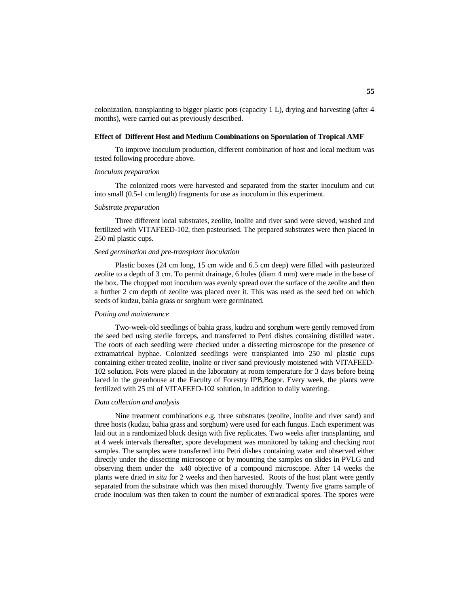colonization, transplanting to bigger plastic pots (capacity 1 L), drying and harvesting (after 4 months), were carried out as previously described.

### **Effect of Different Host and Medium Combinations on Sporulation of Tropical AMF**

To improve inoculum production, different combination of host and local medium was tested following procedure above.

### *Inoculum preparation*

The colonized roots were harvested and separated from the starter inoculum and cut into small (0.5-1 cm length) fragments for use as inoculum in this experiment.

### *Substrate preparation*

Three different local substrates, zeolite, inolite and river sand were sieved, washed and fertilized with VITAFEED-102, then pasteurised. The prepared substrates were then placed in 250 ml plastic cups.

### *Seed germination and pre-transplant inoculation*

Plastic boxes (24 cm long, 15 cm wide and 6.5 cm deep) were filled with pasteurized zeolite to a depth of 3 cm. To permit drainage, 6 holes (diam 4 mm) were made in the base of the box. The chopped root inoculum was evenly spread over the surface of the zeolite and then a further 2 cm depth of zeolite was placed over it. This was used as the seed bed on which seeds of kudzu, bahia grass or sorghum were germinated.

### *Potting and maintenance*

Two-week-old seedlings of bahia grass, kudzu and sorghum were gently removed from the seed bed using sterile forceps, and transferred to Petri dishes containing distilled water. The roots of each seedling were checked under a dissecting microscope for the presence of extramatrical hyphae. Colonized seedlings were transplanted into 250 ml plastic cups containing either treated zeolite, inolite or river sand previously moistened with VITAFEED-102 solution. Pots were placed in the laboratory at room temperature for 3 days before being laced in the greenhouse at the Faculty of Forestry IPB,Bogor. Every week, the plants were fertilized with 25 ml of VITAFEED-102 solution, in addition to daily watering.

### *Data collection and analysis*

Nine treatment combinations e.g. three substrates (zeolite, inolite and river sand) and three hosts (kudzu, bahia grass and sorghum) were used for each fungus. Each experiment was laid out in a randomized block design with five replicates. Two weeks after transplanting, and at 4 week intervals thereafter, spore development was monitored by taking and checking root samples. The samples were transferred into Petri dishes containing water and observed either directly under the dissecting microscope or by mounting the samples on slides in PVLG and observing them under the x40 objective of a compound microscope. After 14 weeks the plants were dried *in situ* for 2 weeks and then harvested. Roots of the host plant were gently separated from the substrate which was then mixed thoroughly. Twenty five grams sample of crude inoculum was then taken to count the number of extraradical spores. The spores were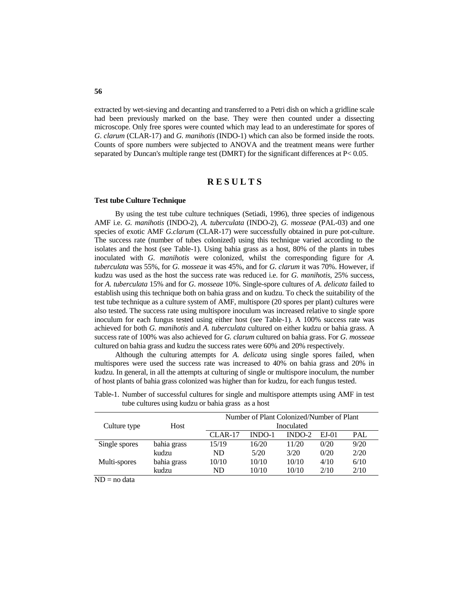extracted by wet-sieving and decanting and transferred to a Petri dish on which a gridline scale had been previously marked on the base. They were then counted under a dissecting microscope. Only free spores were counted which may lead to an underestimate for spores of *G*. *clarum* (CLAR-17) and *G. manihotis* (INDO-1) which can also be formed inside the roots. Counts of spore numbers were subjected to ANOVA and the treatment means were further separated by Duncan's multiple range test (DMRT) for the significant differences at P< 0.05.

## **R E S U L T S**

### **Test tube Culture Technique**

By using the test tube culture techniques (Setiadi, 1996), three species of indigenous AMF i.e. *G. manihotis* (INDO-2), *A. tuberculata* (INDO-2), *G. mosseae* (PAL-03) and one species of exotic AMF *G.clarum* (CLAR-17) were successfully obtained in pure pot-culture. The success rate (number of tubes colonized) using this technique varied according to the isolates and the host (see Table-1). Using bahia grass as a host, 80% of the plants in tubes inoculated with *G. manihotis* were colonized, whilst the corresponding figure for *A. tuberculata* was 55%, for *G. mosseae* it was 45%, and for *G. clarum* it was 70%. However, if kudzu was used as the host the success rate was reduced i.e. for *G. manihotis*, 25% success, for *A. tuberculata* 15% and for *G. mosseae* 10%. Single-spore cultures of *A. delicata* failed to establish using this technique both on bahia grass and on kudzu. To check the suitability of the test tube technique as a culture system of AMF, multispore (20 spores per plant) cultures were also tested. The success rate using multispore inoculum was increased relative to single spore inoculum for each fungus tested using either host (see Table-1). A 100% success rate was achieved for both *G. manihotis* and *A. tuberculata* cultured on either kudzu or bahia grass. A success rate of 100% was also achieved for *G. clarum* cultured on bahia grass. For *G. mosseae* cultured on bahia grass and kudzu the success rates were 60% and 20% respectively.

Although the culturing attempts for *A. delicata* using single spores failed, when multispores were used the success rate was increased to 40% on bahia grass and 20% in kudzu. In general, in all the attempts at culturing of single or multispore inoculum, the number of host plants of bahia grass colonized was higher than for kudzu, for each fungus tested.

|               |             | Number of Plant Colonized/Number of Plant |        |          |       |      |
|---------------|-------------|-------------------------------------------|--------|----------|-------|------|
| Culture type  | Host        | Inoculated                                |        |          |       |      |
|               |             | $CLAR-17$                                 | INDO-1 | $INDO-2$ | EJ-01 | PAL  |
| Single spores | bahia grass | 15/19                                     | 16/20  | 11/20    | 0/20  | 9/20 |
|               | kudzu       | ND                                        | 5/20   | 3/20     | 0/20  | 2/20 |
| Multi-spores  | bahia grass | 10/10                                     | 10/10  | 10/10    | 4/10  | 6/10 |
|               | kudzu       | ND                                        | 10/10  | 10/10    | 2/10  | 2/10 |

Table-1. Number of successful cultures for single and multispore attempts using AMF in test tube cultures using kudzu or bahia grass as a host

 $ND = no data$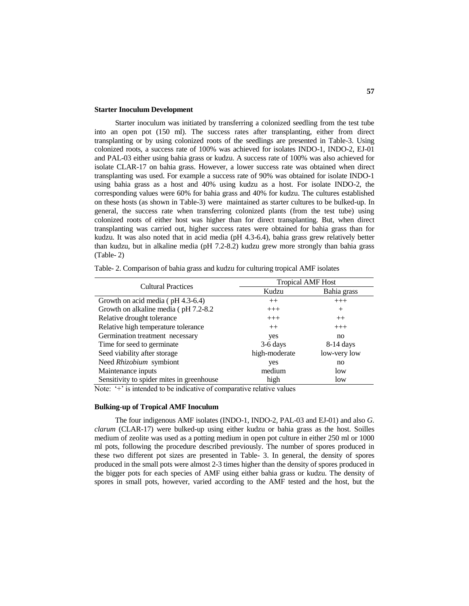### **Starter Inoculum Development**

Starter inoculum was initiated by transferring a colonized seedling from the test tube into an open pot (150 ml). The success rates after transplanting, either from direct transplanting or by using colonized roots of the seedlings are presented in Table-3. Using colonized roots, a success rate of 100% was achieved for isolates INDO-1, INDO-2, EJ-01 and PAL-03 either using bahia grass or kudzu. A success rate of 100% was also achieved for isolate CLAR-17 on bahia grass. However, a lower success rate was obtained when direct transplanting was used. For example a success rate of 90% was obtained for isolate INDO-1 using bahia grass as a host and 40% using kudzu as a host. For isolate INDO-2, the corresponding values were 60% for bahia grass and 40% for kudzu. The cultures established on these hosts (as shown in Table-3) were maintained as starter cultures to be bulked-up. In general, the success rate when transferring colonized plants (from the test tube) using colonized roots of either host was higher than for direct transplanting. But, when direct transplanting was carried out, higher success rates were obtained for bahia grass than for kudzu. It was also noted that in acid media (pH 4.3-6.4), bahia grass grew relatively better than kudzu, but in alkaline media (pH 7.2-8.2) kudzu grew more strongly than bahia grass (Table- 2)

| <b>Cultural Practices</b>                 | <b>Tropical AMF Host</b> |              |  |  |
|-------------------------------------------|--------------------------|--------------|--|--|
|                                           | Kudzu                    | Bahia grass  |  |  |
| Growth on acid media $($ pH 4.3-6.4)      | $++$                     | $+++$        |  |  |
| Growth on alkaline media (pH 7.2-8.2)     | $+++$                    | $^{+}$       |  |  |
| Relative drought tolerance                | $+++$                    | $++$         |  |  |
| Relative high temperature tolerance       | $++$                     | $+++$        |  |  |
| Germination treatment necessary           | yes                      | no           |  |  |
| Time for seed to germinate                | $3-6$ days               | $8-14$ days  |  |  |
| Seed viability after storage              | high-moderate            | low-very low |  |  |
| Need <i>Rhizobium</i> symbiont            | yes                      | no           |  |  |
| Maintenance inputs                        | medium                   | low          |  |  |
| Sensitivity to spider mites in greenhouse | high                     | low          |  |  |

Table- 2. Comparison of bahia grass and kudzu for culturing tropical AMF isolates

Note: '+' is intended to be indicative of comparative relative values

### **Bulking-up of Tropical AMF Inoculum**

The four indigenous AMF isolates (INDO-1, INDO-2, PAL-03 and EJ-01) and also *G. clarum* (CLAR-17) were bulked-up using either kudzu or bahia grass as the host. Soilles medium of zeolite was used as a potting medium in open pot culture in either 250 ml or 1000 ml pots, following the procedure described previously. The number of spores produced in these two different pot sizes are presented in Table- 3. In general, the density of spores produced in the small pots were almost 2-3 times higher than the density of spores produced in the bigger pots for each species of AMF using either bahia grass or kudzu. The density of spores in small pots, however, varied according to the AMF tested and the host, but the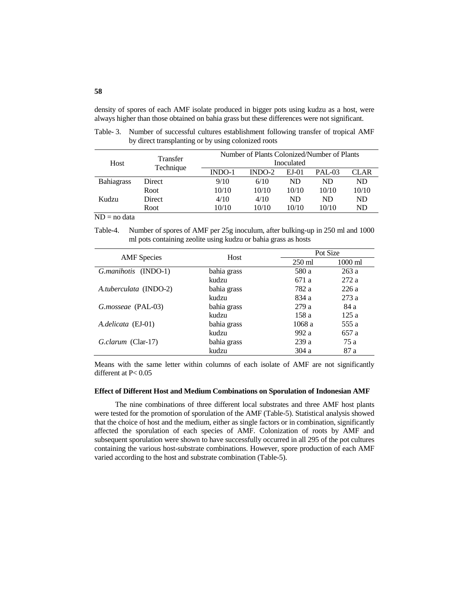density of spores of each AMF isolate produced in bigger pots using kudzu as a host, were always higher than those obtained on bahia grass but these differences were not significant.

Table- 3. Number of successful cultures establishment following transfer of tropical AMF by direct transplanting or by using colonized roots

| Host              | Transfer<br>Technique | Number of Plants Colonized/Number of Plants |          |         |               |       |  |
|-------------------|-----------------------|---------------------------------------------|----------|---------|---------------|-------|--|
|                   |                       | Inoculated                                  |          |         |               |       |  |
|                   |                       | $INDO-1$                                    | $INDO-2$ | $EJ-01$ | <b>PAL-03</b> | CLAR  |  |
| <b>Bahiagrass</b> | Direct                | 9/10                                        | 6/10     | ND      | ND            | ND    |  |
|                   | Root                  | 10/10                                       | 10/10    | 10/10   | 10/10         | 10/10 |  |
| Kudzu             | <b>Direct</b>         | 4/10                                        | 4/10     | ND      | ND            | ND    |  |
|                   | Root                  | 10/10                                       | 10/10    | 10/10   | 10/10         | ND    |  |

 $ND = no data$ 

Table-4. Number of spores of AMF per 25g inoculum, after bulking-up in 250 ml and 1000 ml pots containing zeolite using kudzu or bahia grass as hosts

|                        | Host        |                  | Pot Size          |  |  |
|------------------------|-------------|------------------|-------------------|--|--|
| <b>AMF</b> Species     |             | $250 \text{ ml}$ | $1000 \text{ ml}$ |  |  |
| G.manihotis (INDO-1)   | bahia grass | 580 a            | 263a              |  |  |
|                        | kudzu       | 671 a            | 272 a             |  |  |
| A.tuberculata (INDO-2) | bahia grass | 782 a            | 226a              |  |  |
|                        | kudzu       | 834 a            | 273a              |  |  |
| G.mosseae (PAL-03)     | bahia grass | 279a             | 84 a              |  |  |
|                        | kudzu       | 158 a            | 125a              |  |  |
| A.delicata (EJ-01)     | bahia grass | 1068a            | 555 a             |  |  |
|                        | kudzu       | 992 a            | 657 a             |  |  |
| G.clarum (Clar-17)     | bahia grass | 239a             | 75 a              |  |  |
|                        | kudzu       | 304 a            | 87 a              |  |  |

Means with the same letter within columns of each isolate of AMF are not significantly different at P<  $0.05$ 

#### **Effect of Different Host and Medium Combinations on Sporulation of Indonesian AMF**

The nine combinations of three different local substrates and three AMF host plants were tested for the promotion of sporulation of the AMF (Table-5). Statistical analysis showed that the choice of host and the medium, either as single factors or in combination, significantly affected the sporulation of each species of AMF. Colonization of roots by AMF and subsequent sporulation were shown to have successfully occurred in all 295 of the pot cultures containing the various host-substrate combinations. However, spore production of each AMF varied according to the host and substrate combination (Table-5).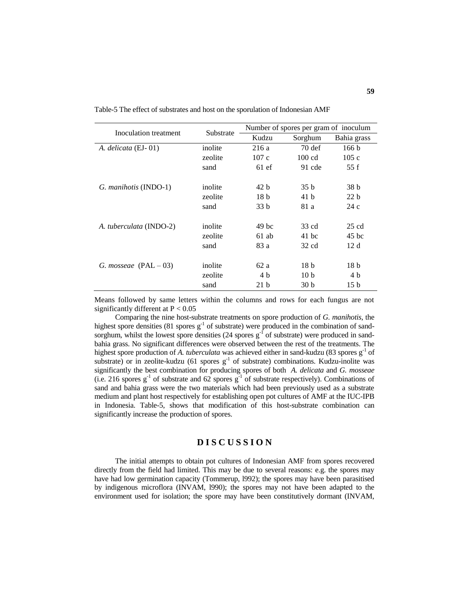| Inoculation treatment   | Substrate | Number of spores per gram of inoculum |                  |                 |  |
|-------------------------|-----------|---------------------------------------|------------------|-----------------|--|
|                         |           | Kudzu                                 | Sorghum          | Bahia grass     |  |
| A. delicata (EJ-01)     | inolite   | 216 a                                 | $70$ def         | 166 b           |  |
|                         | zeolite   | 107c                                  | $100 \text{ cd}$ | 105c            |  |
|                         | sand      | 61ef                                  | 91 cde           | 55f             |  |
| G. manihotis (INDO-1)   | inolite   | 42h                                   | 35 b             | 38 <sub>b</sub> |  |
|                         | zeolite   | 18 <sub>b</sub>                       | 41 b             | 22h             |  |
|                         | sand      | 33 b                                  | 81 a             | 24c             |  |
| A. tuberculata (INDO-2) | inolite   | 49 hc                                 | 33 cd            | $25 \text{ cd}$ |  |
|                         | zeolite   | $61$ ab                               | 41 bc            | 45 hc           |  |
|                         | sand      | 83 a                                  | 32 cd            | 12d             |  |
| G. mosseae $(PAL - 03)$ | inolite   | 62a                                   | 18 <sub>b</sub>  | 18 b            |  |
|                         | zeolite   | 4 b                                   | 10 <sub>b</sub>  | 4 b             |  |
|                         | sand      | 21h                                   | 30 <sub>b</sub>  | 15 <sub>b</sub> |  |

Table-5 The effect of substrates and host on the sporulation of Indonesian AMF

Means followed by same letters within the columns and rows for each fungus are not significantly different at  $P < 0.05$ 

Comparing the nine host-substrate treatments on spore production of *G. manihotis*, the highest spore densities (81 spores  $g^{-1}$  of substrate) were produced in the combination of sandsorghum, whilst the lowest spore densities  $(24 \text{ spores } g^{-1} \text{ of substrate})$  were produced in sandbahia grass. No significant differences were observed between the rest of the treatments. The highest spore production of *A. tuberculata* was achieved either in sand-kudzu (83 spores g<sup>-1</sup> of substrate) or in zeolite-kudzu (61 spores  $g^{-1}$  of substrate) combinations. Kudzu-inolite was significantly the best combination for producing spores of both *A. delicata* and *G. mosseae* (i.e. 216 spores  $g^{-1}$  of substrate and 62 spores  $g^{-1}$  of substrate respectively). Combinations of sand and bahia grass were the two materials which had been previously used as a substrate medium and plant host respectively for establishing open pot cultures of AMF at the IUC-IPB in Indonesia. Table-5, shows that modification of this host-substrate combination can significantly increase the production of spores.

# **D I S C U S S I O N**

The initial attempts to obtain pot cultures of Indonesian AMF from spores recovered directly from the field had limited. This may be due to several reasons: e.g. the spores may have had low germination capacity (Tommerup, l992); the spores may have been parasitised by indigenous microflora (INVAM, l990); the spores may not have been adapted to the environment used for isolation; the spore may have been constitutively dormant (INVAM,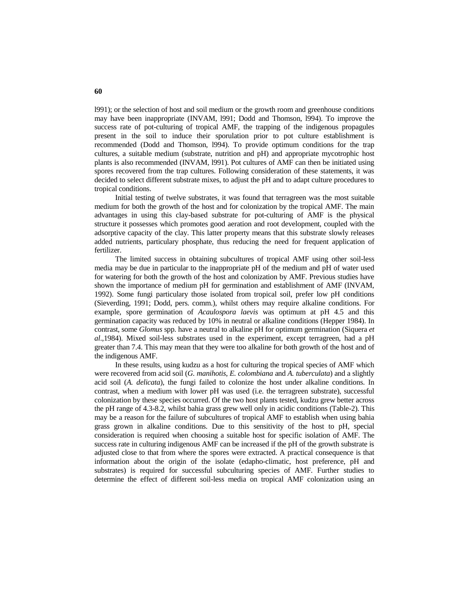l991); or the selection of host and soil medium or the growth room and greenhouse conditions may have been inappropriate (INVAM, l991; Dodd and Thomson, l994). To improve the success rate of pot-culturing of tropical AMF, the trapping of the indigenous propagules present in the soil to induce their sporulation prior to pot culture establishment is recommended (Dodd and Thomson, l994). To provide optimum conditions for the trap cultures, a suitable medium (substrate, nutrition and pH) and appropriate mycotrophic host plants is also recommended (INVAM, l991). Pot cultures of AMF can then be initiated using spores recovered from the trap cultures. Following consideration of these statements, it was decided to select different substrate mixes, to adjust the pH and to adapt culture procedures to tropical conditions.

Initial testing of twelve substrates, it was found that terragreen was the most suitable medium for both the growth of the host and for colonization by the tropical AMF. The main advantages in using this clay-based substrate for pot-culturing of AMF is the physical structure it possesses which promotes good aeration and root development, coupled with the adsorptive capacity of the clay. This latter property means that this substrate slowly releases added nutrients, particulary phosphate, thus reducing the need for frequent application of fertilizer.

The limited success in obtaining subcultures of tropical AMF using other soil-less media may be due in particular to the inappropriate pH of the medium and pH of water used for watering for both the growth of the host and colonization by AMF. Previous studies have shown the importance of medium pH for germination and establishment of AMF (INVAM, 1992). Some fungi particulary those isolated from tropical soil, prefer low pH conditions (Sieverding, 1991; Dodd, pers. comm.), whilst others may require alkaline conditions. For example, spore germination of *Acaulospora laevis* was optimum at pH 4.5 and this germination capacity was reduced by 10% in neutral or alkaline conditions (Hepper 1984). In contrast, some *Glomus* spp. have a neutral to alkaline pH for optimum germination (Siquera *et al*.,1984). Mixed soil-less substrates used in the experiment, except terragreen, had a pH greater than 7.4. This may mean that they were too alkaline for both growth of the host and of the indigenous AMF.

In these results, using kudzu as a host for culturing the tropical species of AMF which were recovered from acid soil (*G. manihotis*, *E. colombiana* and *A. tuberculata*) and a slightly acid soil (*A. delicata*), the fungi failed to colonize the host under alkaline conditions. In contrast, when a medium with lower pH was used (i.e. the terragreen substrate), successful colonization by these species occurred. Of the two host plants tested, kudzu grew better across the pH range of 4.3-8.2, whilst bahia grass grew well only in acidic conditions (Table-2). This may be a reason for the failure of subcultures of tropical AMF to establish when using bahia grass grown in alkaline conditions. Due to this sensitivity of the host to pH, special consideration is required when choosing a suitable host for specific isolation of AMF. The success rate in culturing indigenous AMF can be increased if the pH of the growth substrate is adjusted close to that from where the spores were extracted. A practical consequence is that information about the origin of the isolate (edapho-climatic, host preference, pH and substrates) is required for successful subculturing species of AMF. Further studies to determine the effect of different soil-less media on tropical AMF colonization using an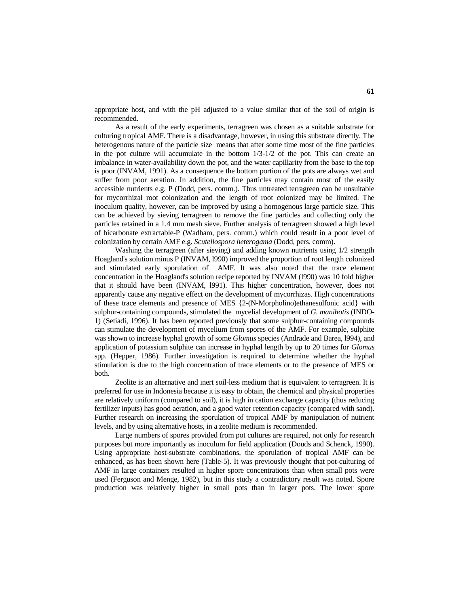appropriate host, and with the pH adjusted to a value similar that of the soil of origin is recommended.

As a result of the early experiments, terragreen was chosen as a suitable substrate for culturing tropical AMF. There is a disadvantage, however, in using this substrate directly. The heterogenous nature of the particle size means that after some time most of the fine particles in the pot culture will accumulate in the bottom  $1/3-1/2$  of the pot. This can create an imbalance in water-availability down the pot, and the water capillarity from the base to the top is poor (INVAM, 1991). As a consequence the bottom portion of the pots are always wet and suffer from poor aeration. In addition, the fine particles may contain most of the easily accessible nutrients e.g. P (Dodd, pers. comm.). Thus untreated terragreen can be unsuitable for mycorrhizal root colonization and the length of root colonized may be limited. The inoculum quality, however, can be improved by using a homogenous large particle size. This can be achieved by sieving terragreen to remove the fine particles and collecting only the particles retained in a 1.4 mm mesh sieve. Further analysis of terragreen showed a high level of bicarbonate extractable-P (Wadham, pers. comm.) which could result in a poor level of colonization by certain AMF e.g. *Scutellospora heterogama* (Dodd, pers. comm).

Washing the terragreen (after sieving) and adding known nutrients using  $1/2$  strength Hoagland's solution minus P (INVAM, l990) improved the proportion of root length colonized and stimulated early sporulation of AMF. It was also noted that the trace element concentration in the Hoagland's solution recipe reported by INVAM (l990) was 10 fold higher that it should have been (INVAM, l991). This higher concentration, however, does not apparently cause any negative effect on the development of mycorrhizas. High concentrations of these trace elements and presence of MES {2-(N-Morpholino)ethanesulfonic acid} with sulphur-containing compounds, stimulated the mycelial development of *G. manihotis* (INDO-1) (Setiadi, 1996). It has been reported previously that some sulphur-containing compounds can stimulate the development of mycelium from spores of the AMF. For example, sulphite was shown to increase hyphal growth of some *Glomus* species (Andrade and Barea, l994), and application of potassium sulphite can increase in hyphal length by up to 20 times for *Glomus* spp. (Hepper, 1986). Further investigation is required to determine whether the hyphal stimulation is due to the high concentration of trace elements or to the presence of MES or both.

Zeolite is an alternative and inert soil-less medium that is equivalent to terragreen. It is preferred for use in Indonesia because it is easy to obtain, the chemical and physical properties are relatively uniform (compared to soil), it is high in cation exchange capacity (thus reducing fertilizer inputs) has good aeration, and a good water retention capacity (compared with sand). Further research on increasing the sporulation of tropical AMF by manipulation of nutrient levels, and by using alternative hosts, in a zeolite medium is recommended.

Large numbers of spores provided from pot cultures are required, not only for research purposes but more importantly as inoculum for field application (Douds and Schenck, 1990). Using appropriate host-substrate combinations, the sporulation of tropical AMF can be enhanced, as has been shown here (Table-5). It was previously thought that pot-culturing of AMF in large containers resulted in higher spore concentrations than when small pots were used (Ferguson and Menge, 1982), but in this study a contradictory result was noted. Spore production was relatively higher in small pots than in larger pots. The lower spore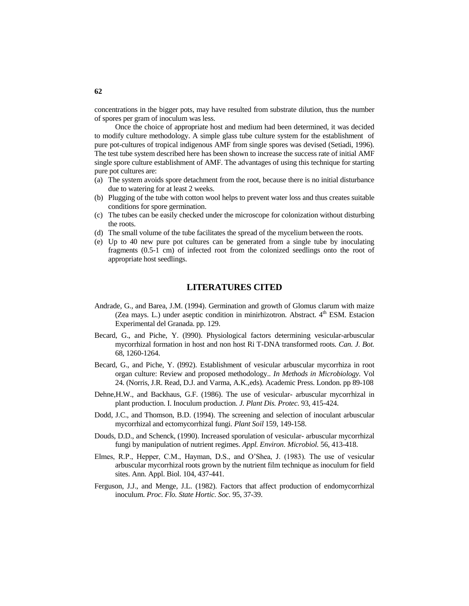concentrations in the bigger pots, may have resulted from substrate dilution, thus the number of spores per gram of inoculum was less.

Once the choice of appropriate host and medium had been determined, it was decided to modify culture methodology. A simple glass tube culture system for the establishment of pure pot-cultures of tropical indigenous AMF from single spores was devised (Setiadi, 1996). The test tube system described here has been shown to increase the success rate of initial AMF single spore culture establishment of AMF. The advantages of using this technique for starting pure pot cultures are:

- (a) The system avoids spore detachment from the root, because there is no initial disturbance due to watering for at least 2 weeks.
- (b) Plugging of the tube with cotton wool helps to prevent water loss and thus creates suitable conditions for spore germination.
- (c) The tubes can be easily checked under the microscope for colonization without disturbing the roots.
- (d) The small volume of the tube facilitates the spread of the mycelium between the roots.
- (e) Up to 40 new pure pot cultures can be generated from a single tube by inoculating fragments (0.5-1 cm) of infected root from the colonized seedlings onto the root of appropriate host seedlings.

# **LITERATURES CITED**

- Andrade, G., and Barea, J.M. (1994). Germination and growth of Glomus clarum with maize (Zea mays. L.) under aseptic condition in minirhizotron. Abstract.  $4<sup>th</sup>$  ESM. Estacion Experimental del Granada. pp. 129.
- Becard, G., and Piche, Y. (l990). Physiological factors determining vesicular-arbuscular mycorrhizal formation in host and non host Ri T-DNA transformed roots. *Can. J. Bot.*  68, 1260-1264.
- Becard, G., and Piche, Y. (l992). Establishment of vesicular arbuscular mycorrhiza in root organ culture: Review and proposed methodology.. *In Methods in Microbiology.* Vol 24. (Norris, J.R. Read, D.J. and Varma, A.K.,eds). Academic Press. London. pp 89-108
- Dehne,H.W., and Backhaus, G.F. (1986). The use of vesicular- arbuscular mycorrhizal in plant production. I. Inoculum production. *J. Plant Dis. Protec.* 93, 415-424.
- Dodd, J.C., and Thomson, B.D. (1994). The screening and selection of inoculant arbuscular mycorrhizal and ectomycorrhizal fungi. *Plant Soil* 159, 149-158.
- Douds, D.D., and Schenck, (1990). Increased sporulation of vesicular- arbuscular mycorrhizal fungi by manipulation of nutrient regimes. *Appl. Environ. Microbiol.* 56, 413-418.
- Elmes, R.P., Hepper, C.M., Hayman, D.S., and O'Shea, J. (1983). The use of vesicular arbuscular mycorrhizal roots grown by the nutrient film technique as inoculum for field sites. Ann. Appl. Biol. 104, 437-441.
- Ferguson, J.J., and Menge, J.L. (1982). Factors that affect production of endomycorrhizal inoculum. *Proc. Flo. State Hortic. Soc.* 95, 37-39.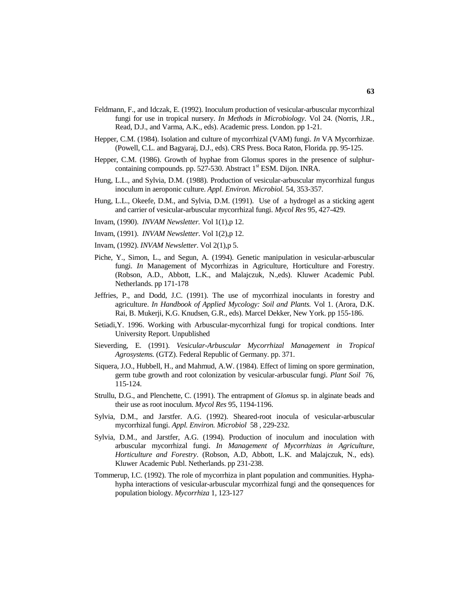- Feldmann, F., and Idczak, E. (1992). Inoculum production of vesicular-arbuscular mycorrhizal fungi for use in tropical nursery. *In Methods in Microbiology*. Vol 24. (Norris, J.R., Read, D.J., and Varma, A.K., eds). Academic press. London. pp 1-21.
- Hepper, C.M. (1984). Isolation and culture of mycorrhizal (VAM) fungi. *In* VA Mycorrhizae. (Powell, C.L. and Bagyaraj, D.J., eds). CRS Press. Boca Raton, Florida. pp. 95-125.
- Hepper, C.M. (1986). Growth of hyphae from Glomus spores in the presence of sulphurcontaining compounds. pp. 527-530. Abstract 1<sup>st</sup> ESM. Dijon. INRA.
- Hung, L.L., and Sylvia, D.M. (1988). Production of vesicular-arbuscular mycorrhizal fungus inoculum in aeroponic culture. *Appl. Environ. Microbiol.* 54, 353-357.
- Hung, L.L., Okeefe, D.M., and Sylvia, D.M. (1991). Use of a hydrogel as a sticking agent and carrier of vesicular-arbuscular mycorrhizal fungi. *Mycol Res* 95, 427-429.
- Invam, (1990). *INVAM Newsletter.* Vol 1(1),p 12.
- Invam, (1991). *INVAM Newsletter*. Vol 1(2),p 12.
- Invam, (1992). *INVAM Newsletter*. Vol 2(1),p 5.
- Piche, Y., Simon, L., and Segun, A. (1994). Genetic manipulation in vesicular-arbuscular fungi. *In* Management of Mycorrhizas in Agriculture, Horticulture and Forestry. (Robson, A.D., Abbott, L.K., and Malajczuk, N.,eds). Kluwer Academic Publ. Netherlands. pp 171-178
- Jeffries, P., and Dodd, J.C. (1991). The use of mycorrhizal inoculants in forestry and agriculture. *In Handbook of Applied Mycology: Soil and Plants.* Vol 1. (Arora, D.K. Rai, B. Mukerji, K.G. Knudsen, G.R., eds). Marcel Dekker, New York. pp 155-186.
- Setiadi,Y. 1996. Working with Arbuscular-mycorrhizal fungi for tropical condtions. Inter University Report. Unpublished
- Sieverding, E. (1991). *Vesicular-Arbuscular Mycorrhizal Management in Tropical Agrosystems.* (GTZ). Federal Republic of Germany. pp. 371.
- Siquera, J.O., Hubbell, H., and Mahmud, A.W. (1984). Effect of liming on spore germination, germ tube growth and root colonization by vesicular-arbuscular fungi. *Plant Soil* 76, 115-124.
- Strullu, D.G., and Plenchette, C. (1991). The entrapment of *Glomus* sp. in alginate beads and their use as root inoculum. *Mycol Res* 95, 1194-1196.
- Sylvia, D.M., and Jarstfer. A.G. (1992). Sheared-root inocula of vesicular-arbuscular mycorrhizal fungi. *Appl. Environ. Microbiol* 58 , 229-232.
- Sylvia, D.M., and Jarstfer, A.G. (1994). Production of inoculum and inoculation with arbuscular mycorrhizal fungi. *In Management of Mycorrhizas in Agriculture, Horticulture and Forestry*. (Robson, A.D, Abbott, L.K. and Malajczuk, N., eds). Kluwer Academic Publ. Netherlands. pp 231-238.
- Tommerup, I.C. (1992). The role of mycorrhiza in plant population and communities. Hyphahypha interactions of vesicular-arbuscular mycorrhizal fungi and the qonsequences for population biology. *Mycorrhiza* 1, 123-127